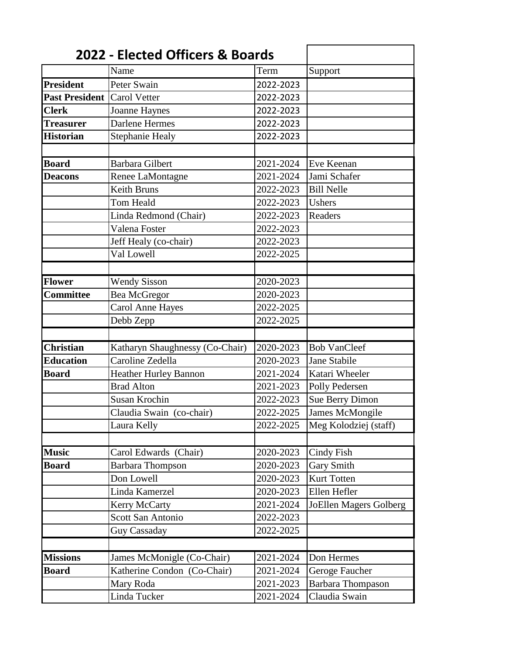| 2022 - Elected Officers & Boards |                                 |           |                               |
|----------------------------------|---------------------------------|-----------|-------------------------------|
|                                  | Name                            | Term      | Support                       |
| <b>President</b>                 | Peter Swain                     | 2022-2023 |                               |
| <b>Past President</b>            | <b>Carol Vetter</b>             | 2022-2023 |                               |
| <b>Clerk</b>                     | Joanne Haynes                   | 2022-2023 |                               |
| <b>Treasurer</b>                 | Darlene Hermes                  | 2022-2023 |                               |
| <b>Historian</b>                 | Stephanie Healy                 | 2022-2023 |                               |
|                                  |                                 |           |                               |
| <b>Board</b>                     | <b>Barbara Gilbert</b>          | 2021-2024 | Eve Keenan                    |
| <b>Deacons</b>                   | Renee LaMontagne                | 2021-2024 | Jami Schafer                  |
|                                  | <b>Keith Bruns</b>              | 2022-2023 | <b>Bill Nelle</b>             |
|                                  | Tom Heald                       | 2022-2023 | Ushers                        |
|                                  | Linda Redmond (Chair)           | 2022-2023 | Readers                       |
|                                  | Valena Foster                   | 2022-2023 |                               |
|                                  | Jeff Healy (co-chair)           | 2022-2023 |                               |
|                                  | Val Lowell                      | 2022-2025 |                               |
|                                  |                                 |           |                               |
| <b>Flower</b>                    | <b>Wendy Sisson</b>             | 2020-2023 |                               |
| <b>Committee</b>                 | <b>Bea McGregor</b>             | 2020-2023 |                               |
|                                  | <b>Carol Anne Hayes</b>         | 2022-2025 |                               |
|                                  | Debb Zepp                       | 2022-2025 |                               |
|                                  |                                 |           |                               |
| <b>Christian</b>                 | Katharyn Shaughnessy (Co-Chair) | 2020-2023 | <b>Bob VanCleef</b>           |
| <b>Education</b>                 | Caroline Zedella                | 2020-2023 | Jane Stabile                  |
| <b>Board</b>                     | Heather Hurley Bannon           | 2021-2024 | Katari Wheeler                |
|                                  | <b>Brad Alton</b>               | 2021-2023 | Polly Pedersen                |
|                                  | <b>Susan Krochin</b>            | 2022-2023 | <b>Sue Berry Dimon</b>        |
|                                  | Claudia Swain (co-chair)        | 2022-2025 | <b>James McMongile</b>        |
|                                  | Laura Kelly                     | 2022-2025 | Meg Kolodziej (staff)         |
|                                  |                                 |           |                               |
| <b>Music</b>                     | Carol Edwards (Chair)           | 2020-2023 | <b>Cindy Fish</b>             |
| <b>Board</b>                     | <b>Barbara Thompson</b>         | 2020-2023 | <b>Gary Smith</b>             |
|                                  | Don Lowell                      | 2020-2023 | Kurt Totten                   |
|                                  | Linda Kamerzel                  | 2020-2023 | Ellen Hefler                  |
|                                  | <b>Kerry McCarty</b>            | 2021-2024 | <b>JoEllen Magers Golberg</b> |
|                                  | <b>Scott San Antonio</b>        | 2022-2023 |                               |
|                                  | <b>Guy Cassaday</b>             | 2022-2025 |                               |
|                                  |                                 |           |                               |
| <b>Missions</b>                  | James McMonigle (Co-Chair)      | 2021-2024 | Don Hermes                    |
| <b>Board</b>                     | Katherine Condon (Co-Chair)     | 2021-2024 | Geroge Faucher                |
|                                  | Mary Roda                       | 2021-2023 | <b>Barbara Thompason</b>      |
|                                  | Linda Tucker                    | 2021-2024 | Claudia Swain                 |
|                                  |                                 |           |                               |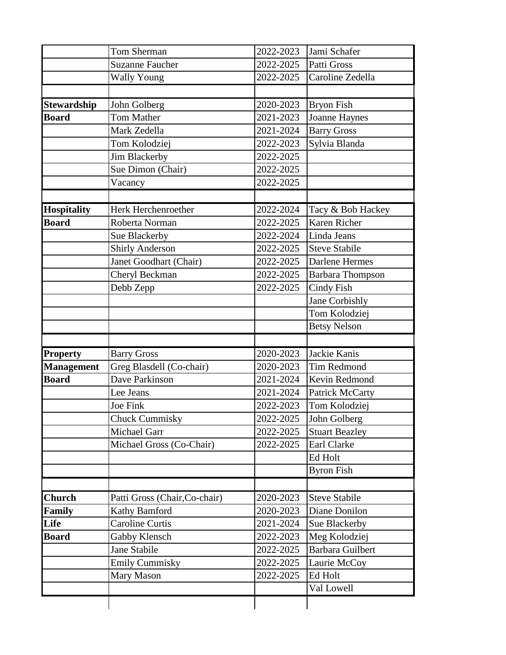|                    | Tom Sherman                   | 2022-2023 | Jami Schafer            |
|--------------------|-------------------------------|-----------|-------------------------|
|                    | <b>Suzanne Faucher</b>        | 2022-2025 | Patti Gross             |
|                    | <b>Wally Young</b>            | 2022-2025 | Caroline Zedella        |
|                    |                               |           |                         |
| <b>Stewardship</b> | John Golberg                  | 2020-2023 | <b>Bryon Fish</b>       |
| <b>Board</b>       | <b>Tom Mather</b>             | 2021-2023 | Joanne Haynes           |
|                    | Mark Zedella                  | 2021-2024 | <b>Barry Gross</b>      |
|                    | Tom Kolodziej                 | 2022-2023 | Sylvia Blanda           |
|                    | Jim Blackerby                 | 2022-2025 |                         |
|                    | Sue Dimon (Chair)             | 2022-2025 |                         |
|                    | Vacancy                       | 2022-2025 |                         |
|                    |                               |           |                         |
| Hospitality        | Herk Herchenroether           | 2022-2024 | Tacy & Bob Hackey       |
| <b>Board</b>       | Roberta Norman                | 2022-2025 | Karen Richer            |
|                    | Sue Blackerby                 | 2022-2024 | Linda Jeans             |
|                    | <b>Shirly Anderson</b>        | 2022-2025 | <b>Steve Stabile</b>    |
|                    | Janet Goodhart (Chair)        | 2022-2025 | <b>Darlene Hermes</b>   |
|                    | Cheryl Beckman                | 2022-2025 | <b>Barbara Thompson</b> |
|                    | Debb Zepp                     | 2022-2025 | <b>Cindy Fish</b>       |
|                    |                               |           | Jane Corbishly          |
|                    |                               |           | Tom Kolodziej           |
|                    |                               |           | <b>Betsy Nelson</b>     |
|                    |                               |           |                         |
| <b>Property</b>    | <b>Barry Gross</b>            | 2020-2023 | Jackie Kanis            |
| <b>Management</b>  | Greg Blasdell (Co-chair)      | 2020-2023 | <b>Tim Redmond</b>      |
| <b>Board</b>       | Dave Parkinson                | 2021-2024 | Kevin Redmond           |
|                    | Lee Jeans                     | 2021-2024 | Patrick McCarty         |
|                    |                               |           |                         |
|                    | Joe Fink                      | 2022-2023 | Tom Kolodziej           |
|                    | <b>Chuck Cummisky</b>         | 2022-2025 | John Golberg            |
|                    | <b>Michael Garr</b>           | 2022-2025 | <b>Stuart Beazley</b>   |
|                    | Michael Gross (Co-Chair)      | 2022-2025 | <b>Earl Clarke</b>      |
|                    |                               |           | Ed Holt                 |
|                    |                               |           | <b>Byron Fish</b>       |
|                    |                               |           |                         |
| <b>Church</b>      | Patti Gross (Chair, Co-chair) | 2020-2023 | <b>Steve Stabile</b>    |
| Family             | Kathy Bamford                 | 2020-2023 | Diane Donilon           |
| Life               | <b>Caroline Curtis</b>        | 2021-2024 | Sue Blackerby           |
| <b>Board</b>       | Gabby Klensch                 | 2022-2023 | Meg Kolodziej           |
|                    | Jane Stabile                  | 2022-2025 | <b>Barbara Guilbert</b> |
|                    | <b>Emily Cummisky</b>         | 2022-2025 | Laurie McCoy            |
|                    | Mary Mason                    | 2022-2025 | Ed Holt<br>Val Lowell   |